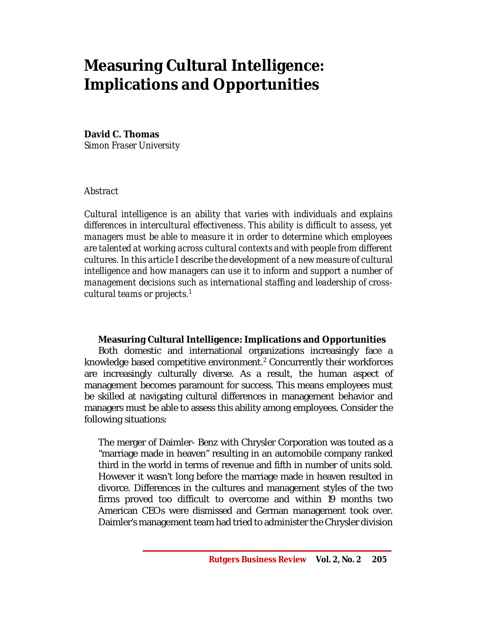# **Measuring Cultural Intelligence: Implications and Opportunities**

## **David C. Thomas**

*Simon Fraser University*

## *Abstract*

*Cultural intelligence is an ability that varies with individuals and explains differences in intercultural effectiveness. This ability is difficult to assess, yet managers must be able to measure it in order to determine which employees are talented at working across cultural contexts and with people from different cultures. In this article I describe the development of a new measure of cultural intelligence and how managers can use it to inform and support a number of management decisions such as international staffing and leadership of crosscultural teams or projects. 1*

## **Measuring Cultural Intelligence: Implications and Opportunities**

Both domestic and international organizations increasingly face a knowledge based competitive environment.<sup>2</sup> Concurrently their workforces are increasingly culturally diverse. As a result, the human aspect of management becomes paramount for success. This means employees must be skilled at navigating cultural differences in management behavior and managers must be able to assess this ability among employees. Consider the following situations:

The merger of Daimler- Benz with Chrysler Corporation was touted as a "marriage made in heaven" resulting in an automobile company ranked third in the world in terms of revenue and fifth in number of units sold. However it wasn't long before the marriage made in heaven resulted in divorce. Differences in the cultures and management styles of the two firms proved too difficult to overcome and within 19 months two American CEOs were dismissed and German management took over. Daimler's management team had tried to administer the Chrysler division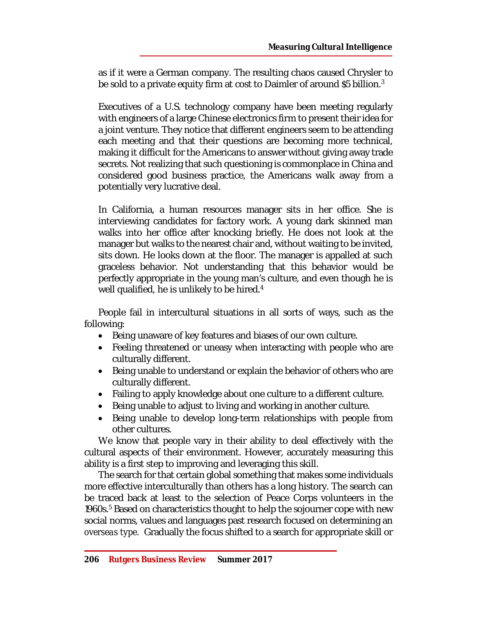as if it were a German company. The resulting chaos caused Chrysler to be sold to a private equity firm at cost to Daimler of around \$5 billion. $3<sup>3</sup>$ 

Executives of a U.S. technology company have been meeting regularly with engineers of a large Chinese electronics firm to present their idea for a joint venture. They notice that different engineers seem to be attending each meeting and that their questions are becoming more technical, making it difficult for the Americans to answer without giving away trade secrets. Not realizing that such questioning is commonplace in China and considered good business practice, the Americans walk away from a potentially very lucrative deal.

In California, a human resources manager sits in her office. She is interviewing candidates for factory work. A young dark skinned man walks into her office after knocking briefly. He does not look at the manager but walks to the nearest chair and, without waiting to be invited, sits down. He looks down at the floor. The manager is appalled at such graceless behavior. Not understanding that this behavior would be perfectly appropriate in the young man's culture, and even though he is well qualified, he is unlikely to be hired.<sup>4</sup>

People fail in intercultural situations in all sorts of ways, such as the following:

- Being unaware of key features and biases of our own culture.
- Feeling threatened or uneasy when interacting with people who are culturally different.
- Being unable to understand or explain the behavior of others who are culturally different.
- Failing to apply knowledge about one culture to a different culture.
- Being unable to adjust to living and working in another culture.
- Being unable to develop long-term relationships with people from other cultures.

We know that people vary in their ability to deal effectively with the cultural aspects of their environment. However, accurately measuring this ability is a first step to improving and leveraging this skill.

The search for that certain global something that makes some individuals more effective interculturally than others has a long history. The search can be traced back at least to the selection of Peace Corps volunteers in the 1960s.<sup>5</sup> Based on characteristics thought to help the sojourner cope with new social norms, values and languages past research focused on determining an *overseas type.* Gradually the focus shifted to a search for appropriate skill or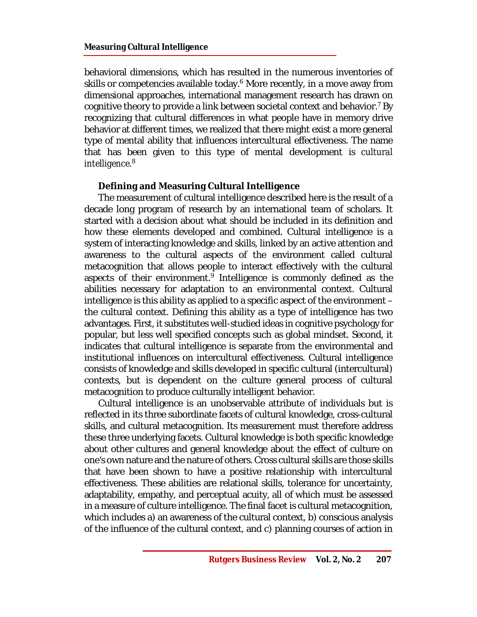#### **Measuring Cultural Intelligence**

behavioral dimensions, which has resulted in the numerous inventories of skills or competencies available today.<sup>6</sup> More recently, in a move away from dimensional approaches, international management research has drawn on cognitive theory to provide a link between societal context and behavior.<sup>7</sup> By recognizing that cultural differences in what people have in memory drive behavior at different times, we realized that there might exist a more general type of mental ability that influences intercultural effectiveness. The name that has been given to this type of mental development is *cultural intelligence.*<sup>8</sup>

#### **Defining and Measuring Cultural Intelligence**

The measurement of cultural intelligence described here is the result of a decade long program of research by an international team of scholars. It started with a decision about what should be included in its definition and how these elements developed and combined. Cultural intelligence is a system of interacting knowledge and skills, linked by an active attention and awareness to the cultural aspects of the environment called cultural metacognition that allows people to interact effectively with the cultural aspects of their environment.<sup>9</sup> Intelligence is commonly defined as the abilities necessary for adaptation to an environmental context. Cultural intelligence is this ability as applied to a specific aspect of the environment – the cultural context. Defining this ability as a type of intelligence has two advantages. First, it substitutes well-studied ideas in cognitive psychology for popular, but less well specified concepts such as global mindset. Second, it indicates that cultural intelligence is separate from the environmental and institutional influences on intercultural effectiveness. Cultural intelligence consists of knowledge and skills developed in specific cultural (intercultural) contexts, but is dependent on the culture general process of cultural metacognition to produce culturally intelligent behavior.

Cultural intelligence is an unobservable attribute of individuals but is reflected in its three subordinate facets of cultural knowledge, cross-cultural skills, and cultural metacognition. Its measurement must therefore address these three underlying facets. Cultural knowledge is both specific knowledge about other cultures and general knowledge about the effect of culture on one's own nature and the nature of others. Cross cultural skills are those skills that have been shown to have a positive relationship with intercultural effectiveness. These abilities are relational skills, tolerance for uncertainty, adaptability, empathy, and perceptual acuity, all of which must be assessed in a measure of culture intelligence. The final facet is cultural metacognition, which includes a) an awareness of the cultural context, b) conscious analysis of the influence of the cultural context, and c) planning courses of action in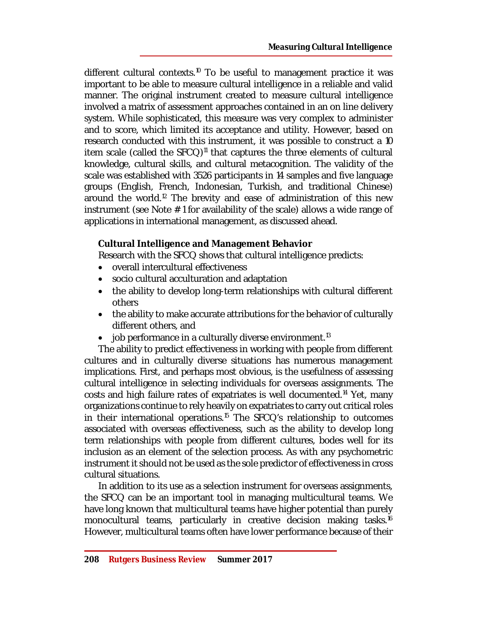different cultural contexts.<sup>10</sup> To be useful to management practice it was important to be able to measure cultural intelligence in a reliable and valid manner. The original instrument created to measure cultural intelligence involved a matrix of assessment approaches contained in an on line delivery system. While sophisticated, this measure was very complex to administer and to score, which limited its acceptance and utility. However, based on research conducted with this instrument, it was possible to construct a 10 item scale (called the  $SFCQ$ <sup>11</sup> that captures the three elements of cultural knowledge, cultural skills, and cultural metacognition. The validity of the scale was established with 3526 participants in 14 samples and five language groups (English, French, Indonesian, Turkish, and traditional Chinese) around the world.<sup>12</sup> The brevity and ease of administration of this new instrument (see Note # 1 for availability of the scale) allows a wide range of applications in international management, as discussed ahead.

## **Cultural Intelligence and Management Behavior**

Research with the SFCQ shows that cultural intelligence predicts:

- overall intercultural effectiveness
- socio cultural acculturation and adaptation
- the ability to develop long-term relationships with cultural different others
- the ability to make accurate attributions for the behavior of culturally different others, and
- $\bullet$  job performance in a culturally diverse environment.<sup>13</sup>

The ability to predict effectiveness in working with people from different cultures and in culturally diverse situations has numerous management implications. First, and perhaps most obvious, is the usefulness of assessing cultural intelligence in selecting individuals for overseas assignments. The costs and high failure rates of expatriates is well documented.<sup>14</sup> Yet, many organizations continue to rely heavily on expatriates to carry out critical roles in their international operations.<sup>15</sup> The SFCQ's relationship to outcomes associated with overseas effectiveness, such as the ability to develop long term relationships with people from different cultures, bodes well for its inclusion as an element of the selection process. As with any psychometric instrument it should not be used as the sole predictor of effectiveness in cross cultural situations.

In addition to its use as a selection instrument for overseas assignments, the SFCQ can be an important tool in managing multicultural teams. We have long known that multicultural teams have higher potential than purely monocultural teams, particularly in creative decision making tasks.<sup>16</sup> However, multicultural teams often have lower performance because of their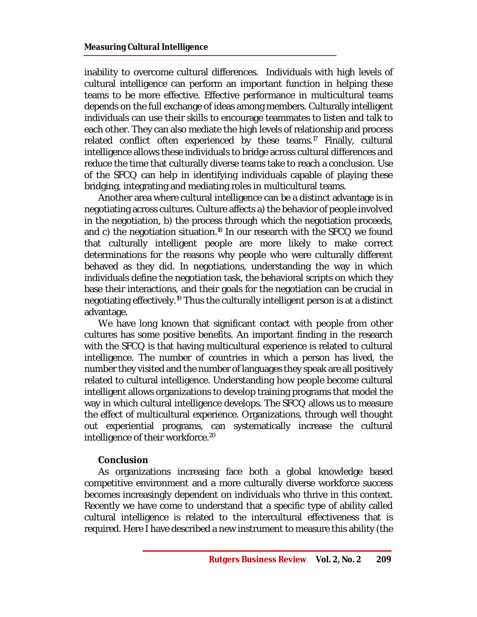inability to overcome cultural differences. Individuals with high levels of cultural intelligence can perform an important function in helping these teams to be more effective. Effective performance in multicultural teams depends on the full exchange of ideas among members. Culturally intelligent individuals can use their skills to encourage teammates to listen and talk to each other. They can also mediate the high levels of relationship and process related conflict often experienced by these teams.<sup>17</sup> Finally, cultural intelligence allows these individuals to bridge across cultural differences and reduce the time that culturally diverse teams take to reach a conclusion. Use of the SFCQ can help in identifying individuals capable of playing these bridging, integrating and mediating roles in multicultural teams.

Another area where cultural intelligence can be a distinct advantage is in negotiating across cultures. Culture affects a) the behavior of people involved in the negotiation, b) the process through which the negotiation proceeds, and c) the negotiation situation.<sup>18</sup> In our research with the SFCQ we found that culturally intelligent people are more likely to make correct determinations for the reasons why people who were culturally different behaved as they did. In negotiations, understanding the way in which individuals define the negotiation task, the behavioral scripts on which they base their interactions, and their goals for the negotiation can be crucial in negotiating effectively.<sup>19</sup> Thus the culturally intelligent person is at a distinct advantage.

We have long known that significant contact with people from other cultures has some positive benefits. An important finding in the research with the SFCQ is that having multicultural experience is related to cultural intelligence. The number of countries in which a person has lived, the number they visited and the number of languages they speak are all positively related to cultural intelligence. Understanding how people become cultural intelligent allows organizations to develop training programs that model the way in which cultural intelligence develops. The SFCQ allows us to measure the effect of multicultural experience. Organizations, through well thought out experiential programs, can systematically increase the cultural intelligence of their workforce.<sup>20</sup>

#### **Conclusion**

As organizations increasing face both a global knowledge based competitive environment and a more culturally diverse workforce success becomes increasingly dependent on individuals who thrive in this context. Recently we have come to understand that a specific type of ability called cultural intelligence is related to the intercultural effectiveness that is required. Here I have described a new instrument to measure this ability (the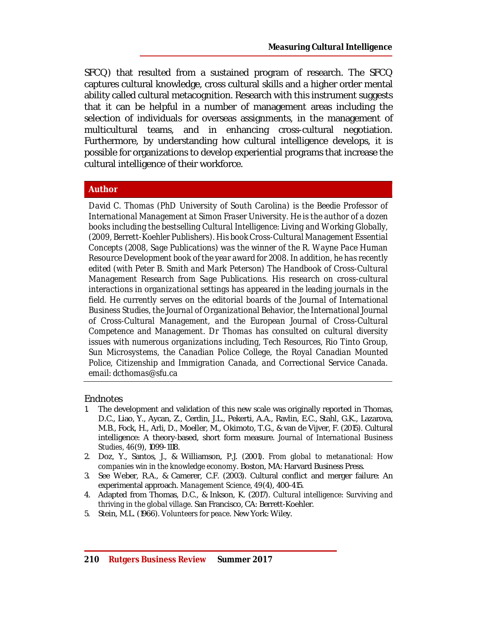SFCQ) that resulted from a sustained program of research. The SFCQ captures cultural knowledge, cross cultural skills and a higher order mental ability called cultural metacognition. Research with this instrument suggests that it can be helpful in a number of management areas including the selection of individuals for overseas assignments, in the management of multicultural teams, and in enhancing cross-cultural negotiation. Furthermore, by understanding how cultural intelligence develops, it is possible for organizations to develop experiential programs that increase the cultural intelligence of their workforce.

### **Author**

*David C. Thomas (PhD University of South Carolina) is the Beedie Professor of International Management at Simon Fraser University. He is the author of a dozen books including the bestselling Cultural Intelligence: Living and Working Globally, (2009, Berrett-Koehler Publishers). His book Cross-Cultural Management Essential Concepts (2008, Sage Publications) was the winner of the R. Wayne Pace Human Resource Development book of the year award for 2008. In addition, he has recently edited (with Peter B. Smith and Mark Peterson) The Handbook of Cross-Cultural Management Research from Sage Publications. His research on cross-cultural interactions in organizational settings has appeared in the leading journals in the*  field. He currently serves on the editorial boards of the Journal of International *Business Studies, the Journal of Organizational Behavior, the International Journal of Cross-Cultural Management, and the European Journal of Cross-Cultural Competence and Management. Dr Thomas has consulted on cultural diversity issues with numerous organizations including, Tech Resources, Rio Tinto Group, Sun Microsystems, the Canadian Police College, the Royal Canadian Mounted Police, Citizenship and Immigration Canada, and Correctional Service Canada. email: [dcthomas@sfu.ca](mailto:dcthomas@sfu.ca)*

#### **Endnotes**

- 1. The development and validation of this new scale was originally reported in Thomas, D.C., Liao, Y., Aycan, Z., Cerdin, J.L., Pekerti, A.A., Ravlin, E.C., Stahl, G.K., Lazarova, M.B., Fock, H., Arli, D., Moeller, M., Okimoto, T.G., & van de Vijver, F. (2015). Cultural intelligence: A theory-based, short form measure. *Journal of International Business Studies, 46*(9), 1099-1118.
- 2. Doz, Y., Santos, J., & Williamson, P.J. (2001). *From global to metanational: How companies win in the knowledge economy*. Boston, MA: Harvard Business Press.
- 3. See Weber, R.A., & Camerer, C.F. (2003). Cultural conflict and merger failure: An experimental approach. *Management Science, 49*(4), 400-415.
- 4. Adapted from Thomas, D.C., & Inkson, K. (2017). *Cultural intelligence: Surviving and thriving in the global village*. San Francisco, CA: Berrett-Koehler.
- 5. Stein, M.L. (1966). *Volunteers for peace*. New York: Wiley.